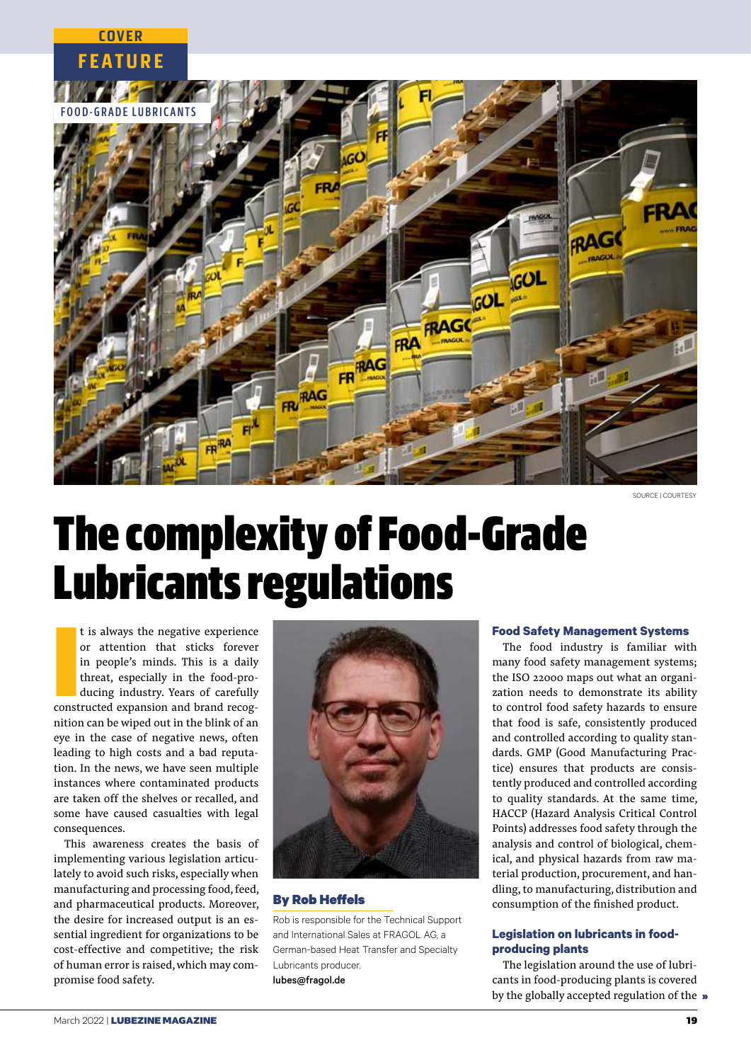

SOURCE LCOURTESY

# The complexity of Food-Grade Lubricants regulations

t is always the negative experience<br>or attention that sticks forever<br>in people's minds. This is a daily<br>threat, especially in the food-pro-<br>ducing industry. Years of carefully<br>constructed expansion and brand recogt is always the negative experience or attention that sticks forever in people's minds. This is a daily threat, especially in the food-producing industry. Years of carefully nition can be wiped out in the blink of an eye in the case of negative news, often leading to high costs and a bad reputation. In the news, we have seen multiple instances where contaminated products are taken off the shelves or recalled, and some have caused casualties with legal consequences.

**COVER**

This awareness creates the basis of implementing various legislation articulately to avoid such risks, especially when manufacturing and processing food, feed, and pharmaceutical products. Moreover, the desire for increased output is an essential ingredient for organizations to be cost-effective and competitive; the risk of human error is raised, which may compromise food safety.



## **By Rob Heffels**

Rob is responsible for the Technical Support and International Sales at FRAGOL AG, a German-based Heat Transfer and Specialty Lubricants producer. lubes@fragol.de

## **Food Safety Management Systems**

The food industry is familiar with many food safety management systems; the ISO 22000 maps out what an organization needs to demonstrate its ability to control food safety hazards to ensure that food is safe, consistently produced and controlled according to quality standards. GMP (Good Manufacturing Practice) ensures that products are consistently produced and controlled according to quality standards. At the same time, HACCP (Hazard Analysis Critical Control Points) addresses food safety through the analysis and control of biological, chemical, and physical hazards from raw material production, procurement, and handling, to manufacturing, distribution and consumption of the finished product.

# **Legislation on lubricants in foodproducing plants**

The legislation around the use of lubricants in food-producing plants is covered by the globally accepted regulation of the »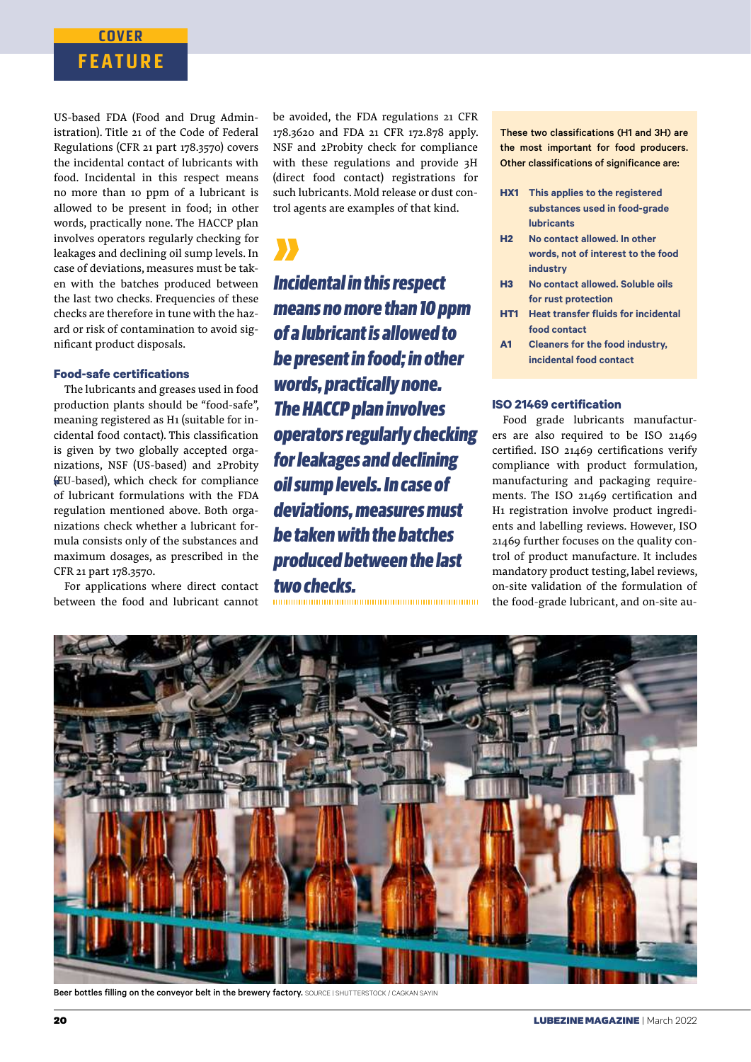# **FEATURE COVER**

US-based FDA (Food and Drug Administration). Title 21 of the Code of Federal Regulations (CFR 21 part 178.3570) covers the incidental contact of lubricants with food. Incidental in this respect means no more than 10 ppm of a lubricant is allowed to be present in food; in other words, practically none. The HACCP plan involves operators regularly checking for leakages and declining oil sump levels. In case of deviations, measures must be taken with the batches produced between the last two checks. Frequencies of these checks are therefore in tune with the hazard or risk of contamination to avoid significant product disposals.

## **Food-safe certifications**

The lubricants and greases used in food production plants should be "food-safe", meaning registered as H1 (suitable for incidental food contact). This classification is given by two globally accepted organizations, NSF (US-based) and 2Probity (EU-based), which check for compliance of lubricant formulations with the FDA regulation mentioned above. Both organizations check whether a lubricant formula consists only of the substances and maximum dosages, as prescribed in the CFR 21 part 178.3570.

For applications where direct contact between the food and lubricant cannot be avoided, the FDA regulations 21 CFR 178.3620 and FDA 21 CFR 172.878 apply. NSF and 2Probity check for compliance with these regulations and provide 3H (direct food contact) registrations for such lubricants. Mold release or dust control agents are examples of that kind.

*Incidental in this respect means no more than 10 ppm of a lubricant is allowed to be present in food; in other words, practically none. The HACCP plan involves operators regularly checking for leakages and declining oil sump levels. In case of deviations, measures must be taken with the batches produced between the last two checks.*

These two classifications (H1 and 3H) are the most important for food producers. Other classifications of significance are:

- **HX1** This applies to the registered substances used in food-grade lubricants
- **H2** No contact allowed. In other words, not of interest to the food industry
- **H3** No contact allowed. Soluble oils for rust protection
- **HT1** Heat transfer fluids for incidental food contact
- **A1** Cleaners for the food industry, incidental food contact

## **ISO 21469 certification**

Food grade lubricants manufacturers are also required to be ISO 21469 certified. ISO 21469 certifications verify compliance with product formulation, manufacturing and packaging requirements. The ISO 21469 certification and H1 registration involve product ingredients and labelling reviews. However, ISO 21469 further focuses on the quality control of product manufacture. It includes mandatory product testing, label reviews, on-site validation of the formulation of the food-grade lubricant, and on-site au-



Beer bottles filling on the conveyor belt in the brewery factory. SOURCE | SHUTTERSTOCK / CAGKAN SAYIN